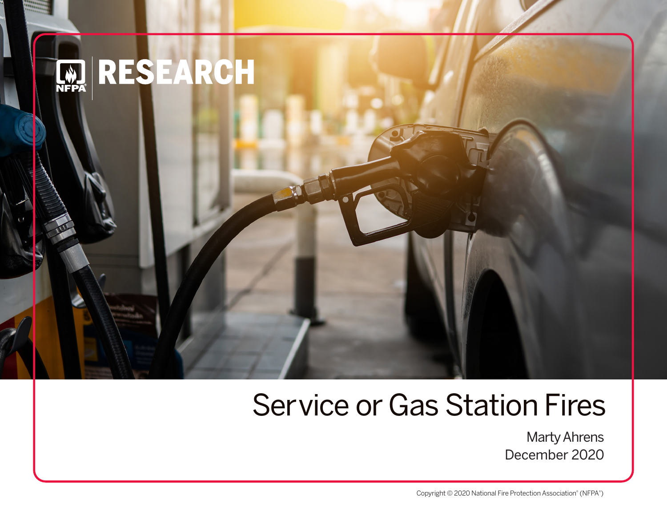

# Service or Gas Station Fires

Marty Ahrens December 2020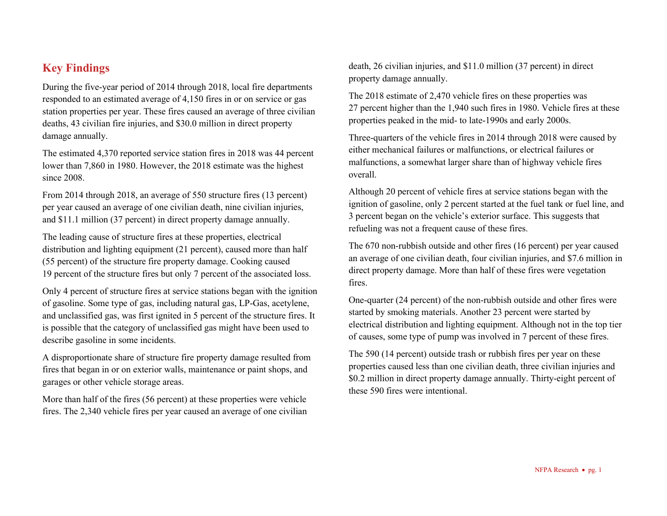## **Key Findings**

During the five-year period of 2014 through 2018, local fire departments responded to an estimated average of 4,150 fires in or on service or gas station properties per year. These fires caused an average of three civilian deaths, 43 civilian fire injuries, and \$30.0 million in direct property damage annually.

The estimated 4,370 reported service station fires in 2018 was 44 percent lower than 7,860 in 1980. However, the 2018 estimate was the highest since 2008.

From 2014 through 2018, an average of 550 structure fires (13 percent) per year caused an average of one civilian death, nine civilian injuries, and \$11.1 million (37 percent) in direct property damage annually.

The leading cause of structure fires at these properties, electrical distribution and lighting equipment (21 percent), caused more than half (55 percent) of the structure fire property damage. Cooking caused 19 percent of the structure fires but only 7 percent of the associated loss.

Only 4 percent of structure fires at service stations began with the ignition of gasoline. Some type of gas, including natural gas, LP-Gas, acetylene, and unclassified gas, was first ignited in 5 percent of the structure fires. It is possible that the category of unclassified gas might have been used to describe gasoline in some incidents.

A disproportionate share of structure fire property damage resulted from fires that began in or on exterior walls, maintenance or paint shops, and garages or other vehicle storage areas.

More than half of the fires (56 percent) at these properties were vehicle fires. The 2,340 vehicle fires per year caused an average of one civilian death, 26 civilian injuries, and \$11.0 million (37 percent) in direct property damage annually.

The 2018 estimate of 2,470 vehicle fires on these properties was 27 percent higher than the 1,940 such fires in 1980. Vehicle fires at these properties peaked in the mid- to late-1990s and early 2000s.

Three-quarters of the vehicle fires in 2014 through 2018 were caused by either mechanical failures or malfunctions, or electrical failures or malfunctions, a somewhat larger share than of highway vehicle fires overall.

Although 20 percent of vehicle fires at service stations began with the ignition of gasoline, only 2 percent started at the fuel tank or fuel line, and 3 percent began on the vehicle's exterior surface. This suggests that refueling was not a frequent cause of these fires.

The 670 non-rubbish outside and other fires (16 percent) per year caused an average of one civilian death, four civilian injuries, and \$7.6 million in direct property damage. More than half of these fires were vegetation fires.

One-quarter (24 percent) of the non-rubbish outside and other fires were started by smoking materials. Another 23 percent were started by electrical distribution and lighting equipment. Although not in the top tier of causes, some type of pump was involved in 7 percent of these fires.

The 590 (14 percent) outside trash or rubbish fires per year on these properties caused less than one civilian death, three civilian injuries and \$0.2 million in direct property damage annually. Thirty-eight percent of these 590 fires were intentional.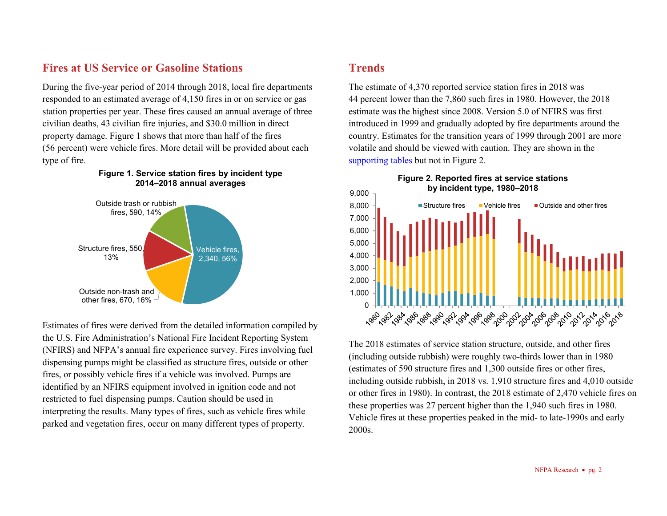## **Fires at US Service or Gasoline Stations**

During the five-year period of 2014 through 2018, local fire departments responded to an estimated average of 4,150 fires in or on service or gas station properties per year. These fires caused an annual average of three civilian deaths, 43 civilian fire injuries, and \$30.0 million in direct property damage. Figure 1 shows that more than half of the fires (56 percent) were vehicle fires. More detail will be provided about each type of fire.

**Figure 1. Service station fires by incident type**



### Estimates of fires were derived from the detailed information compiled by the U.S. Fire Administration's National Fire Incident Reporting System (NFIRS) and NFPA's annual fire experience survey. Fires involving fuel dispensing pumps might be classified as structure fires, outside or other fires, or possibly vehicle fires if a vehicle was involved. Pumps are identified by an NFIRS equipment involved in ignition code and not restricted to fuel dispensing pumps. Caution should be used in interpreting the results. Many types of fires, such as vehicle fires while parked and vegetation fires, occur on many different types of property.

# **Trends**

The estimate of 4,370 reported service station fires in 2018 was 44 percent lower than the 7,860 such fires in 1980. However, the 2018 estimate was the highest since 2008. Version 5.0 of NFIRS was first introduced in 1999 and gradually adopted by fire departments around the country. Estimates for the transition years of 1999 through 2001 are more volatile and should be viewed with caution. They are shown in the [supporting tables](http://www.nfpa.org/servicestationfires) but not in Figure 2.



The 2018 estimates of service station structure, outside, and other fires (including outside rubbish) were roughly two-thirds lower than in 1980 (estimates of 590 structure fires and 1,300 outside fires or other fires, including outside rubbish, in 2018 vs. 1,910 structure fires and 4,010 outside or other fires in 1980). In contrast, the 2018 estimate of 2,470 vehicle fires on these properties was 27 percent higher than the 1,940 such fires in 1980. Vehicle fires at these properties peaked in the mid- to late-1990s and early 2000s.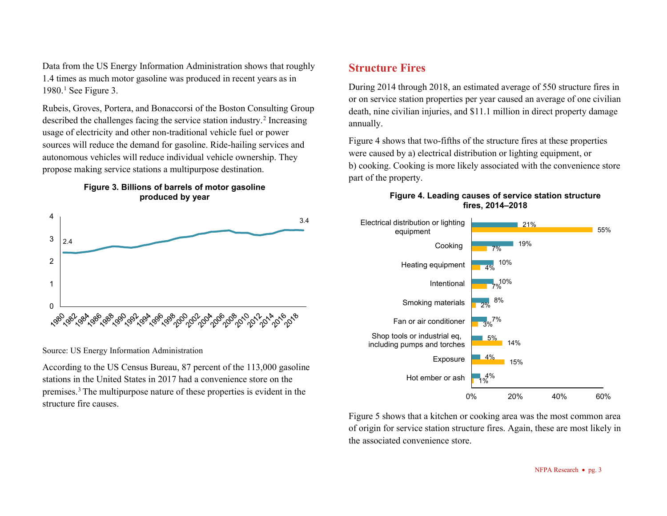Data from the US Energy Information Administration shows that roughly 1.4 times as much motor gasoline was produced in recent years as in  $1980.<sup>1</sup>$  $1980.<sup>1</sup>$  See Figure 3.

[Rubeis,](https://www.bcg.com/about/people/experts/mirko-rubeis) Groves, Portera, and [Bonaccorsi](https://www.bcg.com/about/people/experts/giuseppe-bonaccorsi) of the Boston Consulting Group described the challenges facing the service station industry.[2](#page-8-1) Increasing usage of electricity and other non-traditional vehicle fuel or power sources will reduce the demand for gasoline. Ride-hailing services and autonomous vehicles will reduce individual vehicle ownership. They propose making service stations a multipurpose destination.





Source: US Energy Information Administration

According to the US Census Bureau, 87 percent of the 113,000 gasoline stations in the United States in 2017 had a convenience store on the premises. [3](#page-8-2) The multipurpose nature of these properties is evident in the structure fire causes.

## **Structure Fires**

During 2014 through 2018, an estimated average of 550 structure fires in or on service station properties per year caused an average of one civilian death, nine civilian injuries, and \$11.1 million in direct property damage annually.

Figure 4 shows that two-fifths of the structure fires at these properties were caused by a) electrical distribution or lighting equipment, or b) cooking. Cooking is more likely associated with the convenience store part of the property.

#### **Figure 4. Leading causes of service station structure fires, 2014–2018**



Figure 5 shows that a kitchen or cooking area was the most common area of origin for service station structure fires. Again, these are most likely in the associated convenience store.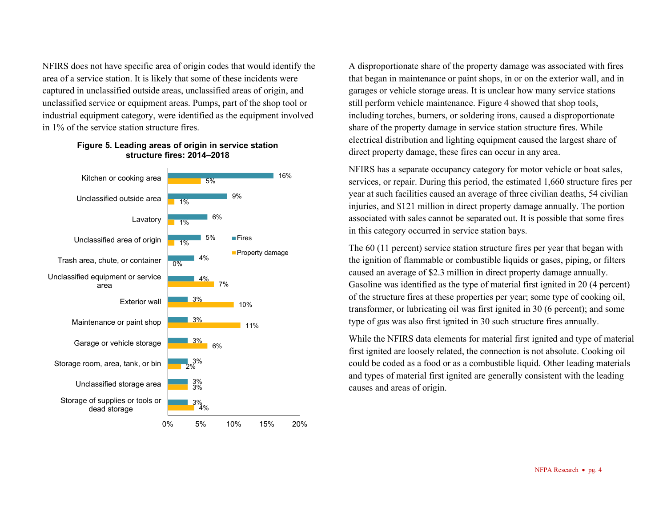NFIRS does not have specific area of origin codes that would identify the area of a service station. It is likely that some of these incidents were captured in unclassified outside areas, unclassified areas of origin, and unclassified service or equipment areas. Pumps, part of the shop tool or industrial equipment category, were identified as the equipment involved in 1% of the service station structure fires.



#### **Figure 5. Leading areas of origin in service station structure fires: 2014–2018**

A disproportionate share of the property damage was associated with fires that began in maintenance or paint shops, in or on the exterior wall, and in garages or vehicle storage areas. It is unclear how many service stations still perform vehicle maintenance. Figure 4 showed that shop tools, including torches, burners, or soldering irons, caused a disproportionate share of the property damage in service station structure fires. While electrical distribution and lighting equipment caused the largest share of direct property damage, these fires can occur in any area.

NFIRS has a separate occupancy category for motor vehicle or boat sales, services, or repair. During this period, the estimated 1,660 structure fires per year at such facilities caused an average of three civilian deaths, 54 civilian injuries, and \$121 million in direct property damage annually. The portion associated with sales cannot be separated out. It is possible that some fires in this category occurred in service station bays.

The 60 (11 percent) service station structure fires per year that began with the ignition of flammable or combustible liquids or gases, piping, or filters caused an average of \$2.3 million in direct property damage annually. Gasoline was identified as the type of material first ignited in 20 (4 percent) of the structure fires at these properties per year; some type of cooking oil, transformer, or lubricating oil was first ignited in 30 (6 percent); and some type of gas was also first ignited in 30 such structure fires annually.

While the NFIRS data elements for material first ignited and type of material first ignited are loosely related, the connection is not absolute. Cooking oil could be coded as a food or as a combustible liquid. Other leading materials and types of material first ignited are generally consistent with the leading causes and areas of origin.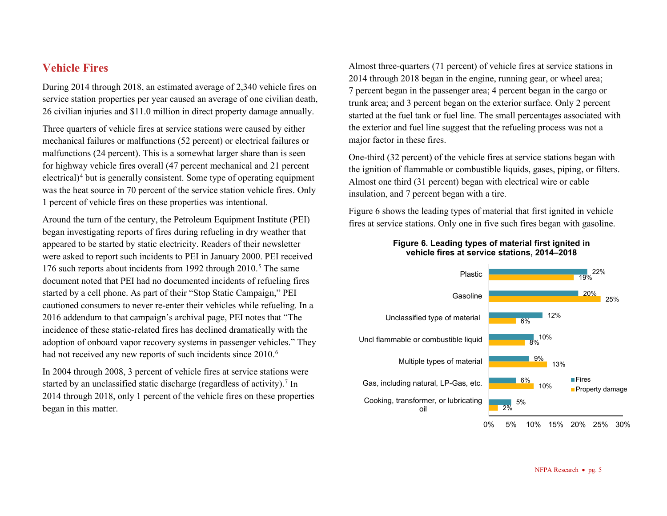## **Vehicle Fires**

During 2014 through 2018, an estimated average of 2,340 vehicle fires on service station properties per year caused an average of one civilian death, 26 civilian injuries and \$11.0 million in direct property damage annually.

Three quarters of vehicle fires at service stations were caused by either mechanical failures or malfunctions (52 percent) or electrical failures or malfunctions (24 percent). This is a somewhat larger share than is seen for highway vehicle fires overall (47 percent mechanical and 21 percent electrical)<sup>[4](#page-8-3)</sup> but is generally consistent. Some type of operating equipment was the heat source in 70 percent of the service station vehicle fires. Only 1 percent of vehicle fires on these properties was intentional.

Around the turn of the century, the Petroleum Equipment Institute (PEI) began investigating reports of fires during refueling in dry weather that appeared to be started by static electricity. Readers of their newsletter were asked to report such incidents to PEI in January 2000. PEI received 176 such reports about incidents from 1992 through  $2010<sup>5</sup>$  $2010<sup>5</sup>$  $2010<sup>5</sup>$  The same document noted that PEI had no documented incidents of refueling fires started by a cell phone. As part of their "Stop Static Campaign," PEI cautioned consumers to never re-enter their vehicles while refueling. In a 2016 addendum to that campaign's archival page, PEI notes that "The incidence of these static-related fires has declined dramatically with the adoption of onboard vapor recovery systems in passenger vehicles." They had not received any new reports of such incidents since 2010.<sup>[6](#page-8-5)</sup>

In 2004 through 2008, 3 percent of vehicle fires at service stations were started by an unclassified static discharge (regardless of activity).<sup>[7](#page-8-6)</sup> In 2014 through 2018, only 1 percent of the vehicle fires on these properties began in this matter.

Almost three-quarters (71 percent) of vehicle fires at service stations in 2014 through 2018 began in the engine, running gear, or wheel area; 7 percent began in the passenger area; 4 percent began in the cargo or trunk area; and 3 percent began on the exterior surface. Only 2 percent started at the fuel tank or fuel line. The small percentages associated with the exterior and fuel line suggest that the refueling process was not a major factor in these fires.

One-third (32 percent) of the vehicle fires at service stations began with the ignition of flammable or combustible liquids, gases, piping, or filters. Almost one third (31 percent) began with electrical wire or cable insulation, and 7 percent began with a tire.

Figure 6 shows the leading types of material that first ignited in vehicle fires at service stations. Only one in five such fires began with gasoline.



#### **Figure 6. Leading types of material first ignited in vehicle fires at service stations, 2014–2018**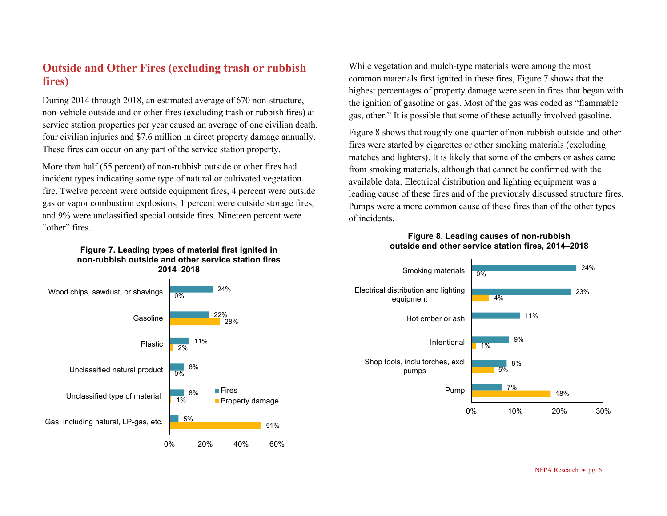## **Outside and Other Fires (excluding trash or rubbish fires)**

During 2014 through 2018, an estimated average of 670 non-structure, non-vehicle outside and or other fires (excluding trash or rubbish fires) at service station properties per year caused an average of one civilian death, four civilian injuries and \$7.6 million in direct property damage annually. These fires can occur on any part of the service station property.

More than half (55 percent) of non-rubbish outside or other fires had incident types indicating some type of natural or cultivated vegetation fire. Twelve percent were outside equipment fires, 4 percent were outside gas or vapor combustion explosions, 1 percent were outside storage fires, and 9% were unclassified special outside fires. Nineteen percent were "other" fires.

#### **Figure 7. Leading types of material first ignited in non-rubbish outside and other service station fires 2014–2018**



While vegetation and mulch-type materials were among the most common materials first ignited in these fires, Figure 7 shows that the highest percentages of property damage were seen in fires that began with the ignition of gasoline or gas. Most of the gas was coded as "flammable gas, other." It is possible that some of these actually involved gasoline.

Figure 8 shows that roughly one-quarter of non-rubbish outside and other fires were started by cigarettes or other smoking materials (excluding matches and lighters). It is likely that some of the embers or ashes came from smoking materials, although that cannot be confirmed with the available data. Electrical distribution and lighting equipment was a leading cause of these fires and of the previously discussed structure fires. Pumps were a more common cause of these fires than of the other types of incidents.

#### **Figure 8. Leading causes of non-rubbish outside and other service station fires, 2014–2018**



NFPA Research • pg. 6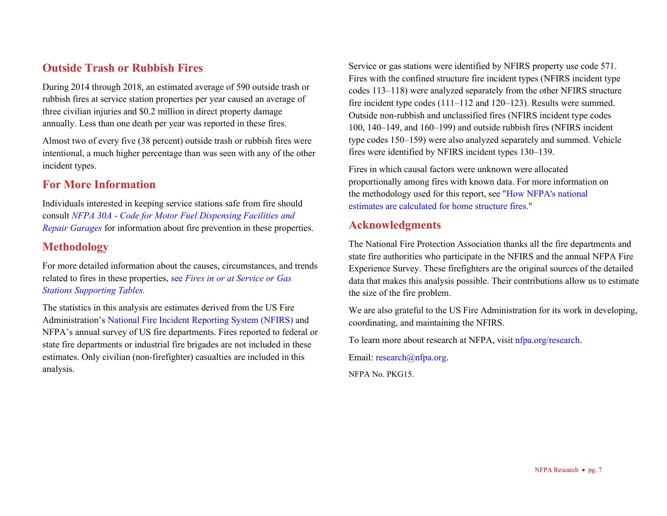## **Outside Trash or Rubbish Fires**

During 2014 through 2018, an estimated average of 590 outside trash or rubbish fires at service station properties per year caused an average of three civilian injuries and \$0.2 million in direct property damage annually. Less than one death per year was reported in these fires.

Almost two of every five (38 percent) outside trash or rubbish fires were intentional, a much higher percentage than was seen with any of the other incident types.

## **For More Information**

Individuals interested in keeping service stations safe from fire should consult *NFPA 30A - [Code for Motor Fuel Dispensing Facilities and](https://www.nfpa.org/codes-and-standards/all-codes-and-standards/list-of-codes-and-standards/detail?code=30A)  [Repair Garages](https://www.nfpa.org/codes-and-standards/all-codes-and-standards/list-of-codes-and-standards/detail?code=30A)* for information about fire prevention in these properties.

## **Methodology**

For more detailed information about the causes, circumstances, and trends related to fires in these properties, see *[Fires in or at Service or Gas](http://www.nfpa.org/servicestationfires)  [Stations Supporting Tables.](http://www.nfpa.org/servicestationfires)*

The statistics in this analysis are estimates derived from the US Fire Administration'[s National Fire Incident Reporting System \(NFIRS\)](https://www.usfa.fema.gov/data/nfirs/) and NFPA's annual survey of US fire departments. Fires reported to federal or state fire departments or industrial fire brigades are not included in these estimates. Only civilian (non-firefighter) casualties are included in this analysis.

Service or gas stations were identified by NFIRS property use code 571. Fires with the confined structure fire incident types (NFIRS incident type codes 113–118) were analyzed separately from the other NFIRS structure fire incident type codes (111–112 and 120–123). Results were summed. Outside non-rubbish and unclassified fires (NFIRS incident type codes 100, 140–149, and 160–199) and outside rubbish fires (NFIRS incident type codes 150–159) were also analyzed separately and summed. Vehicle fires were identified by NFIRS incident types 130–139.

Fires in which causal factors were unknown were allocated proportionally among fires with known data. For more information on the methodology used for this report, se[e "How NFPA's national](https://www.nfpa.org/%7E/media/Files/News%20and%20Research/Fire%20statistics%20and%20reports/NFPA-estimates-and-methodology/NationalEstimatesHomeFires.pdf)  [estimates are calculated for home structure fires."](https://www.nfpa.org/%7E/media/Files/News%20and%20Research/Fire%20statistics%20and%20reports/NFPA-estimates-and-methodology/NationalEstimatesHomeFires.pdf)

## **Acknowledgments**

The National Fire Protection Association thanks all the fire departments and state fire authorities who participate in the NFIRS and the annual NFPA Fire Experience Survey. These firefighters are the original sources of the detailed data that makes this analysis possible. Their contributions allow us to estimate the size of the fire problem.

We are also grateful to the US Fire Administration for its work in developing, coordinating, and maintaining the NFIRS.

To learn more about research at NFPA, visi[t nfpa.org/research.](http://www.nfpa.org/research)

Email: [research@nfpa.org.](mailto:research@nfpa.org)

NFPA No. PKG15.